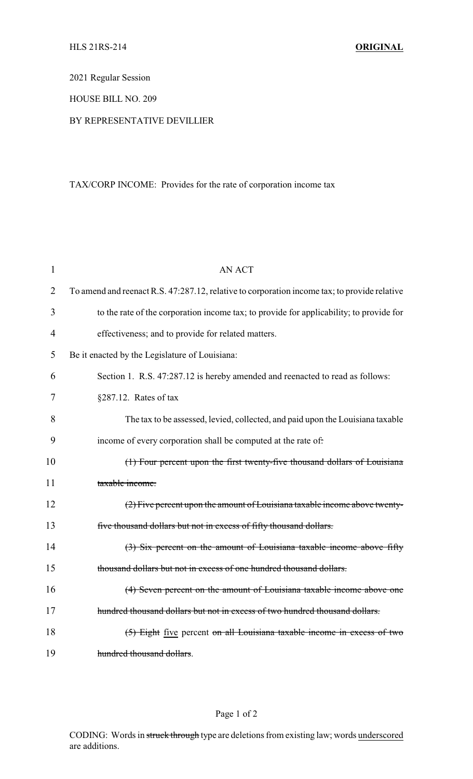2021 Regular Session

HOUSE BILL NO. 209

## BY REPRESENTATIVE DEVILLIER

## TAX/CORP INCOME: Provides for the rate of corporation income tax

| $\mathbf{1}$   | <b>AN ACT</b>                                                                                |
|----------------|----------------------------------------------------------------------------------------------|
| $\overline{2}$ | To amend and reenact R.S. 47:287.12, relative to corporation income tax; to provide relative |
| 3              | to the rate of the corporation income tax; to provide for applicability; to provide for      |
| $\overline{4}$ | effectiveness; and to provide for related matters.                                           |
| 5              | Be it enacted by the Legislature of Louisiana:                                               |
| 6              | Section 1. R.S. 47:287.12 is hereby amended and reenacted to read as follows:                |
| 7              | §287.12. Rates of tax                                                                        |
| 8              | The tax to be assessed, levied, collected, and paid upon the Louisiana taxable               |
| 9              | income of every corporation shall be computed at the rate of:                                |
| 10             | (1) Four percent upon the first twenty-five thousand dollars of Louisiana                    |
| 11             | taxable income.                                                                              |
| 12             | (2) Five percent upon the amount of Louisiana taxable income above twenty-                   |
| 13             | five thousand dollars but not in excess of fifty thousand dollars.                           |
| 14             | (3) Six percent on the amount of Louisiana taxable income above fifty                        |
| 15             | thousand dollars but not in excess of one hundred thousand dollars.                          |
| 16             | (4) Seven percent on the amount of Louisiana taxable income above one                        |
| 17             | hundred thousand dollars but not in excess of two hundred thousand dollars.                  |
| 18             | (5) Eight five percent on all Louisiana taxable income in excess of two                      |
| 19             | hundred thousand dollars.                                                                    |